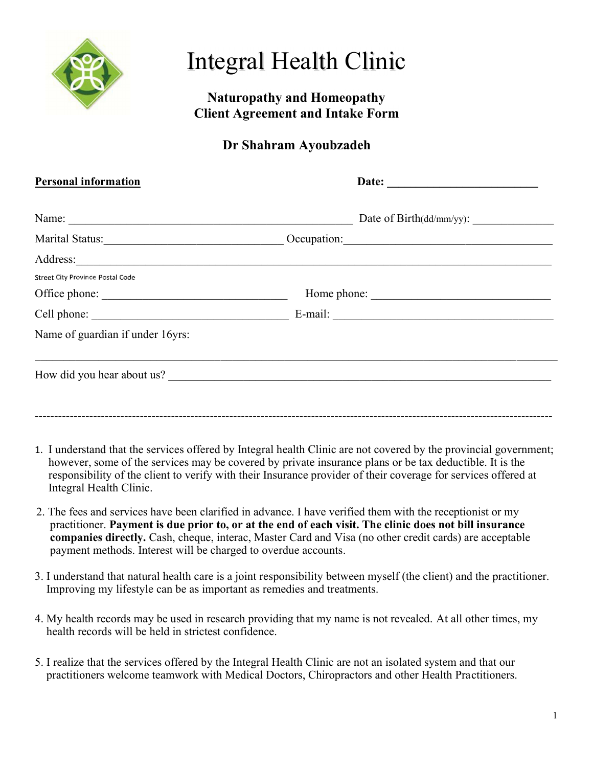

# Integral Health Clinic

## Naturopathy and Homeopathy Client Agreement and Intake Form

# Dr Shahram Ayoubzadeh

| <b>Personal information</b>      |                                                                                                                                                                                                                                      |
|----------------------------------|--------------------------------------------------------------------------------------------------------------------------------------------------------------------------------------------------------------------------------------|
| Name:                            | Date of Birth(dd/mm/yy):                                                                                                                                                                                                             |
|                                  | Occupation:                                                                                                                                                                                                                          |
|                                  | Address: <u>and the second contract of the second contract of the second contract of the second contract of the second contract of the second contract of the second contract of the second contract of the second contract of t</u> |
| Street City Province Postal Code |                                                                                                                                                                                                                                      |
| Office phone:                    | Home phone:                                                                                                                                                                                                                          |
|                                  |                                                                                                                                                                                                                                      |
| Name of guardian if under 16yrs: |                                                                                                                                                                                                                                      |
|                                  | How did you hear about us?                                                                                                                                                                                                           |
|                                  |                                                                                                                                                                                                                                      |
|                                  |                                                                                                                                                                                                                                      |

- 1. I understand that the services offered by Integral health Clinic are not covered by the provincial government; however, some of the services may be covered by private insurance plans or be tax deductible. It is the responsibility of the client to verify with their Insurance provider of their coverage for services offered at Integral Health Clinic.
- 2. The fees and services have been clarified in advance. I have verified them with the receptionist or my practitioner. Payment is due prior to, or at the end of each visit. The clinic does not bill insurance companies directly. Cash, cheque, interac, Master Card and Visa (no other credit cards) are acceptable payment methods. Interest will be charged to overdue accounts.
- 3. I understand that natural health care is a joint responsibility between myself (the client) and the practitioner. Improving my lifestyle can be as important as remedies and treatments.
- 4. My health records may be used in research providing that my name is not revealed. At all other times, my health records will be held in strictest confidence.
- 5. I realize that the services offered by the Integral Health Clinic are not an isolated system and that our practitioners welcome teamwork with Medical Doctors, Chiropractors and other Health Practitioners.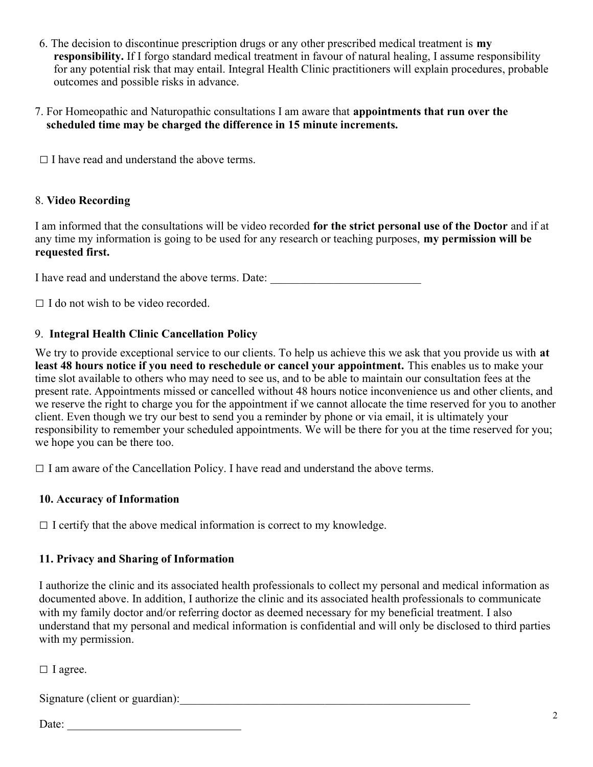- 6. The decision to discontinue prescription drugs or any other prescribed medical treatment is  $m\mathbf{v}$  responsibility. If I forgo standard medical treatment in favour of natural healing, I assume responsibility for any potential risk that may entail. Integral Health Clinic practitioners will explain procedures, probable outcomes and possible risks in advance.
- 7. For Homeopathic and Naturopathic consultations I am aware that appointments that run over the scheduled time may be charged the difference in 15 minute increments.

 $\Box$  I have read and understand the above terms.

#### 8. Video Recording

I am informed that the consultations will be video recorded for the strict personal use of the Doctor and if at any time my information is going to be used for any research or teaching purposes, my permission will be requested first.

I have read and understand the above terms. Date: \_\_\_\_\_\_\_\_\_\_\_\_\_\_\_\_\_\_\_\_\_\_\_\_\_\_\_\_\_\_

 $\Box$  I do not wish to be video recorded.

#### 9. Integral Health Clinic Cancellation Policy

We try to provide exceptional service to our clients. To help us achieve this we ask that you provide us with at least 48 hours notice if you need to reschedule or cancel your appointment. This enables us to make your time slot available to others who may need to see us, and to be able to maintain our consultation fees at the present rate. Appointments missed or cancelled without 48 hours notice inconvenience us and other clients, and we reserve the right to charge you for the appointment if we cannot allocate the time reserved for you to another client. Even though we try our best to send you a reminder by phone or via email, it is ultimately your responsibility to remember your scheduled appointments. We will be there for you at the time reserved for you; we hope you can be there too.

 $\Box$  I am aware of the Cancellation Policy. I have read and understand the above terms.

#### 10. Accuracy of Information

 $\Box$  I certify that the above medical information is correct to my knowledge.

#### 11. Privacy and Sharing of Information

I authorize the clinic and its associated health professionals to collect my personal and medical information as documented above. In addition, I authorize the clinic and its associated health professionals to communicate with my family doctor and/or referring doctor as deemed necessary for my beneficial treatment. I also understand that my personal and medical information is confidential and will only be disclosed to third parties with my permission.

□ I agree.

Signature (client or guardian):\_\_\_\_\_\_\_\_\_\_\_\_\_\_\_\_\_\_\_\_\_\_\_\_\_\_\_\_\_\_\_\_\_\_\_\_\_\_\_\_\_\_\_\_\_\_\_\_\_\_

Date: \_\_\_\_\_\_\_\_\_\_\_\_\_\_\_\_\_\_\_\_\_\_\_\_\_\_\_\_\_\_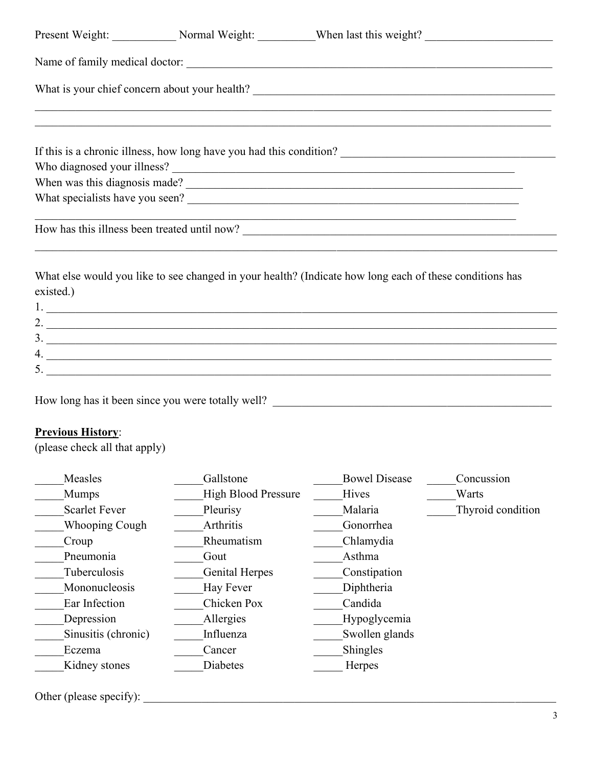|                                                                | Present Weight: Normal Weight: When last this weight?                                                                                                                                                                                                                                                                                                                                        |                            |                   |
|----------------------------------------------------------------|----------------------------------------------------------------------------------------------------------------------------------------------------------------------------------------------------------------------------------------------------------------------------------------------------------------------------------------------------------------------------------------------|----------------------------|-------------------|
|                                                                | Name of family medical doctor:                                                                                                                                                                                                                                                                                                                                                               |                            |                   |
|                                                                | <u> 1989 - Johann Stoff, amerikan bestein besteht aus dem Berlingen aus dem Berlingen aus dem Berlingen aus dem B</u>                                                                                                                                                                                                                                                                        |                            |                   |
|                                                                | ,我们也不能在这里的时候,我们也不能在这里的时候,我们也不能在这里的时候,我们也不能会不能会不能会不能会不能会不能会不能会不能会。<br>第2012章 我们的时候,我们的时候,我们的时候,我们的时候,我们的时候,我们的时候,我们的时候,我们的时候,我们的时候,我们的时候,我们的时候,我们的时候,我                                                                                                                                                                                                                                        |                            |                   |
|                                                                |                                                                                                                                                                                                                                                                                                                                                                                              |                            |                   |
|                                                                |                                                                                                                                                                                                                                                                                                                                                                                              |                            |                   |
|                                                                |                                                                                                                                                                                                                                                                                                                                                                                              |                            |                   |
| <b>Previous History:</b>                                       | $\frac{3}{2}$<br>5. $\frac{1}{2}$ $\frac{1}{2}$ $\frac{1}{2}$ $\frac{1}{2}$ $\frac{1}{2}$ $\frac{1}{2}$ $\frac{1}{2}$ $\frac{1}{2}$ $\frac{1}{2}$ $\frac{1}{2}$ $\frac{1}{2}$ $\frac{1}{2}$ $\frac{1}{2}$ $\frac{1}{2}$ $\frac{1}{2}$ $\frac{1}{2}$ $\frac{1}{2}$ $\frac{1}{2}$ $\frac{1}{2}$ $\frac{1}{2}$ $\frac{1}{2}$ $\frac{1}{2}$<br>How long has it been since you were totally well? |                            |                   |
|                                                                |                                                                                                                                                                                                                                                                                                                                                                                              |                            |                   |
| Measles                                                        | Gallstone                                                                                                                                                                                                                                                                                                                                                                                    | <b>Bowel Disease</b>       | Concussion        |
| Mumps                                                          | <b>High Blood Pressure</b>                                                                                                                                                                                                                                                                                                                                                                   | Hives                      | Warts             |
| <b>Scarlet Fever</b>                                           | Pleurisy                                                                                                                                                                                                                                                                                                                                                                                     | Malaria                    | Thyroid condition |
| <b>Whooping Cough</b>                                          | Arthritis                                                                                                                                                                                                                                                                                                                                                                                    | Gonorrhea                  |                   |
| Croup                                                          | Rheumatism                                                                                                                                                                                                                                                                                                                                                                                   | Chlamydia                  |                   |
| Pneumonia                                                      | Gout                                                                                                                                                                                                                                                                                                                                                                                         | Asthma                     |                   |
| Tuberculosis                                                   | <b>Genital Herpes</b>                                                                                                                                                                                                                                                                                                                                                                        | Constipation               |                   |
| Mononucleosis                                                  | Hay Fever                                                                                                                                                                                                                                                                                                                                                                                    | Diphtheria                 |                   |
| Ear Infection                                                  | Chicken Pox                                                                                                                                                                                                                                                                                                                                                                                  | Candida                    |                   |
| Depression                                                     | Allergies                                                                                                                                                                                                                                                                                                                                                                                    | Hypoglycemia               |                   |
| (please check all that apply)<br>Sinusitis (chronic)<br>Eczema | Influenza<br>Cancer                                                                                                                                                                                                                                                                                                                                                                          | Swollen glands<br>Shingles |                   |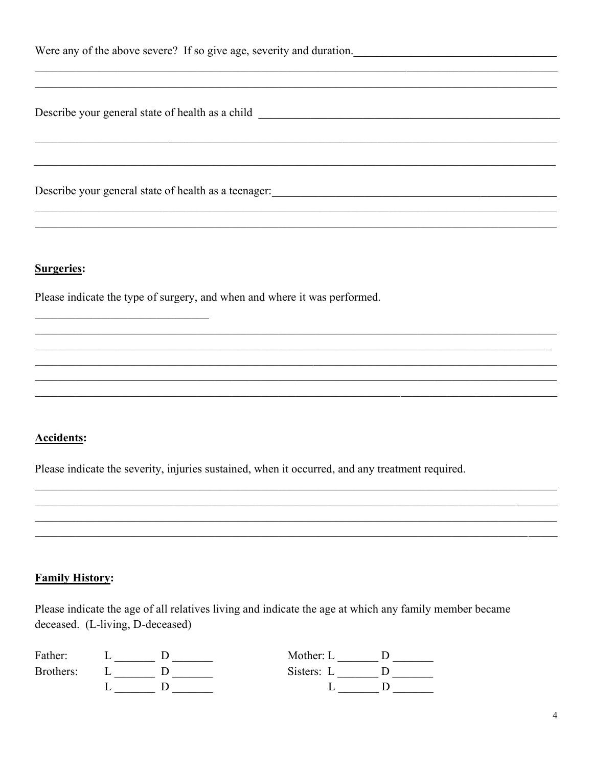| Were any of the above severe? If so give age, severity and duration. |  |  |
|----------------------------------------------------------------------|--|--|
|----------------------------------------------------------------------|--|--|

Describe your general state of health as a child

Describe your general state of health as a teenager:

#### **Surgeries:**

Please indicate the type of surgery, and when and where it was performed.

#### **Accidents:**

Please indicate the severity, injuries sustained, when it occurred, and any treatment required.

#### **Family History:**

Please indicate the age of all relatives living and indicate the age at which any family member became deceased. (L-living, D-deceased)

| Father:   |  | Mother: L  |  |
|-----------|--|------------|--|
| Brothers: |  | Sisters: L |  |
|           |  |            |  |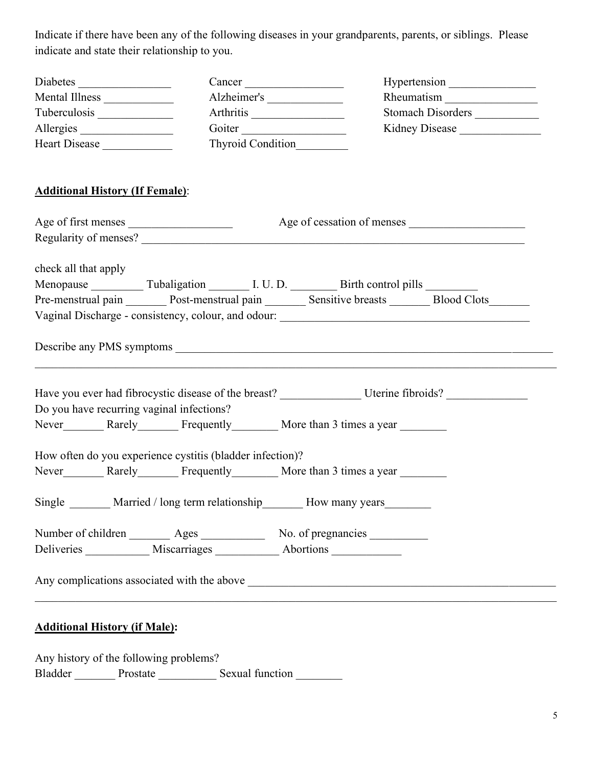Indicate if there have been any of the following diseases in your grandparents, parents, or siblings. Please indicate and state their relationship to you.

| Diabetes             | Cancer            | Hypertension             |
|----------------------|-------------------|--------------------------|
| Mental Illness       | Alzheimer's       | Rheumatism               |
| Tuberculosis         | Arthritis         | <b>Stomach Disorders</b> |
| Allergies            | Goiter            | Kidney Disease           |
| <b>Heart Disease</b> | Thyroid Condition |                          |

### Additional History (If Female):

| Age of first menses                       |                                                           |                                                                                                                                                                                                                                |  |  |
|-------------------------------------------|-----------------------------------------------------------|--------------------------------------------------------------------------------------------------------------------------------------------------------------------------------------------------------------------------------|--|--|
|                                           |                                                           |                                                                                                                                                                                                                                |  |  |
| check all that apply                      |                                                           |                                                                                                                                                                                                                                |  |  |
|                                           |                                                           | Menopause Tubaligation L. U. D. Birth control pills Lemma                                                                                                                                                                      |  |  |
|                                           |                                                           | Pre-menstrual pain Post-menstrual pain Sensitive breasts Blood Clots Blood Clots                                                                                                                                               |  |  |
|                                           |                                                           | Vaginal Discharge - consistency, colour, and odour: _____________________________                                                                                                                                              |  |  |
|                                           |                                                           |                                                                                                                                                                                                                                |  |  |
|                                           |                                                           |                                                                                                                                                                                                                                |  |  |
| Do you have recurring vaginal infections? |                                                           |                                                                                                                                                                                                                                |  |  |
|                                           |                                                           | Never More than 3 times a year More than 3 times a year More than 3 times a year More than 3 times a year More than 3 times a year More than 3 times a year More than 3 times a year More than 3 times a year More than 3 time |  |  |
|                                           | How often do you experience cystitis (bladder infection)? |                                                                                                                                                                                                                                |  |  |
|                                           |                                                           | Never More than 3 times a year More than 3 times a year More than 3 times a year More than 3 times a year More than 3 times a year More than 3 times a year More than 3 times a year More than 3 times a year More than 3 time |  |  |
|                                           |                                                           | Single ________ Married / long term relationship ________ How many years ________                                                                                                                                              |  |  |
|                                           |                                                           | Number of children ________ Ages _____________ No. of pregnancies _________                                                                                                                                                    |  |  |
|                                           |                                                           | Deliveries Miscarriages Abortions                                                                                                                                                                                              |  |  |
|                                           |                                                           |                                                                                                                                                                                                                                |  |  |

## Additional History (if Male):

Any history of the following problems? Bladder Prostate Sexual function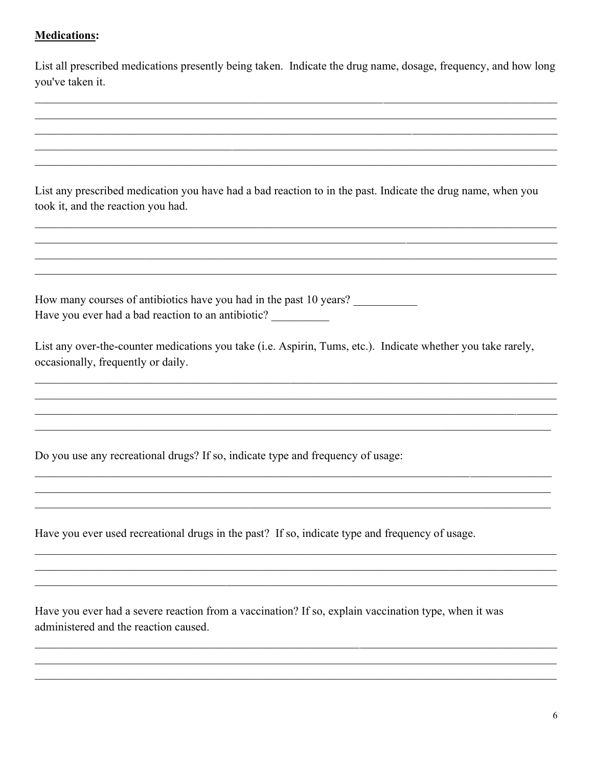#### **Medications:**

List all prescribed medications presently being taken. Indicate the drug name, dosage, frequency, and how long you've taken it.

List any prescribed medication you have had a bad reaction to in the past. Indicate the drug name, when you took it, and the reaction you had.

How many courses of antibiotics have you had in the past 10 years? Have you ever had a bad reaction to an antibiotic?

List any over-the-counter medications you take (i.e. Aspirin, Tums, etc.). Indicate whether you take rarely, occasionally, frequently or daily.

Do you use any recreational drugs? If so, indicate type and frequency of usage:

Have you ever used recreational drugs in the past? If so, indicate type and frequency of usage.

Have you ever had a severe reaction from a vaccination? If so, explain vaccination type, when it was administered and the reaction caused.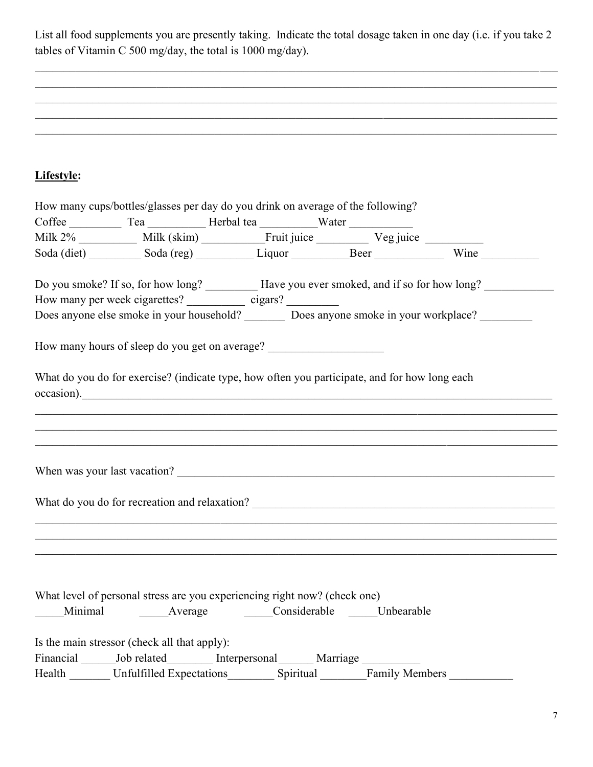List all food supplements you are presently taking. Indicate the total dosage taken in one day (i.e. if you take 2 tables of Vitamin C 500 mg/day, the total is 1000 mg/day).

 $\_$  , and the contribution of the contribution of the contribution of the contribution of the contribution of  $\mathcal{L}_\text{max}$ 

## Lifestyle:

| How many cups/bottles/glasses per day do you drink on average of the following?                                                                 |                          |                                                                                                                       |
|-------------------------------------------------------------------------------------------------------------------------------------------------|--------------------------|-----------------------------------------------------------------------------------------------------------------------|
|                                                                                                                                                 |                          |                                                                                                                       |
|                                                                                                                                                 |                          |                                                                                                                       |
|                                                                                                                                                 |                          |                                                                                                                       |
|                                                                                                                                                 |                          | Do you smoke? If so, for how long? __________ Have you ever smoked, and if so for how long? ______________            |
| How many per week cigarettes? ______________ cigars? ___________                                                                                |                          |                                                                                                                       |
| Does anyone else smoke in your household? Does anyone smoke in your workplace?                                                                  |                          |                                                                                                                       |
| How many hours of sleep do you get on average?<br>What do you do for exercise? (indicate type, how often you participate, and for how long each |                          |                                                                                                                       |
| $\alpha$ occasion).                                                                                                                             |                          |                                                                                                                       |
|                                                                                                                                                 |                          |                                                                                                                       |
|                                                                                                                                                 |                          | <u> 1989 - Johann Stoff, amerikan bestein de stad in de stad in de stad in de stad in de stad in de stad in de st</u> |
|                                                                                                                                                 |                          |                                                                                                                       |
|                                                                                                                                                 |                          |                                                                                                                       |
|                                                                                                                                                 |                          |                                                                                                                       |
|                                                                                                                                                 |                          |                                                                                                                       |
|                                                                                                                                                 |                          |                                                                                                                       |
|                                                                                                                                                 |                          |                                                                                                                       |
|                                                                                                                                                 |                          |                                                                                                                       |
|                                                                                                                                                 |                          |                                                                                                                       |
| What level of personal stress are you experiencing right now? (check one)                                                                       |                          |                                                                                                                       |
| Minimal Average Considerable Unbearable                                                                                                         |                          |                                                                                                                       |
| Is the main stressor (check all that apply):                                                                                                    |                          |                                                                                                                       |
| Financial _______ Job related__________ Interpersonal _______ Marriage _________                                                                |                          |                                                                                                                       |
| Health Unfulfilled Expectations                                                                                                                 | Spiritual Family Members |                                                                                                                       |